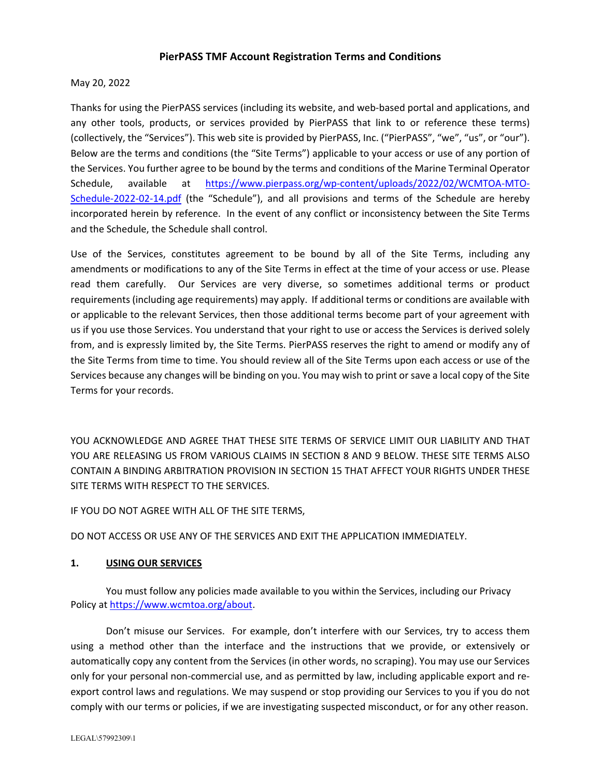# **PierPASS TMF Account Registration Terms and Conditions**

May 20, 2022

Thanks for using the PierPASS services (including its website, and web‐based portal and applications, and any other tools, products, or services provided by PierPASS that link to or reference these terms) (collectively, the "Services"). This web site is provided by PierPASS, Inc. ("PierPASS", "we", "us", or "our"). Below are the terms and conditions (the "Site Terms") applicable to your access or use of any portion of the Services. You further agree to be bound by the terms and conditions of the Marine Terminal Operator Schedule, available at https://www.pierpass.org/wp-content/uploads/2022/02/WCMTOA-MTO-Schedule‐2022‐02‐14.pdf (the "Schedule"), and all provisions and terms of the Schedule are hereby incorporated herein by reference. In the event of any conflict or inconsistency between the Site Terms and the Schedule, the Schedule shall control.

Use of the Services, constitutes agreement to be bound by all of the Site Terms, including any amendments or modifications to any of the Site Terms in effect at the time of your access or use. Please read them carefully. Our Services are very diverse, so sometimes additional terms or product requirements (including age requirements) may apply. If additional terms or conditions are available with or applicable to the relevant Services, then those additional terms become part of your agreement with us if you use those Services. You understand that your right to use or access the Services is derived solely from, and is expressly limited by, the Site Terms. PierPASS reserves the right to amend or modify any of the Site Terms from time to time. You should review all of the Site Terms upon each access or use of the Services because any changes will be binding on you. You may wish to print or save a local copy of the Site Terms for your records.

YOU ACKNOWLEDGE AND AGREE THAT THESE SITE TERMS OF SERVICE LIMIT OUR LIABILITY AND THAT YOU ARE RELEASING US FROM VARIOUS CLAIMS IN SECTION 8 AND 9 BELOW. THESE SITE TERMS ALSO CONTAIN A BINDING ARBITRATION PROVISION IN SECTION 15 THAT AFFECT YOUR RIGHTS UNDER THESE SITE TERMS WITH RESPECT TO THE SERVICES.

IF YOU DO NOT AGREE WITH ALL OF THE SITE TERMS,

DO NOT ACCESS OR USE ANY OF THE SERVICES AND EXIT THE APPLICATION IMMEDIATELY.

#### **1. USING OUR SERVICES**

You must follow any policies made available to you within the Services, including our Privacy Policy at https://www.wcmtoa.org/about.

Don't misuse our Services. For example, don't interfere with our Services, try to access them using a method other than the interface and the instructions that we provide, or extensively or automatically copy any content from the Services (in other words, no scraping). You may use our Services only for your personal non‐commercial use, and as permitted by law, including applicable export and re‐ export control laws and regulations. We may suspend or stop providing our Services to you if you do not comply with our terms or policies, if we are investigating suspected misconduct, or for any other reason.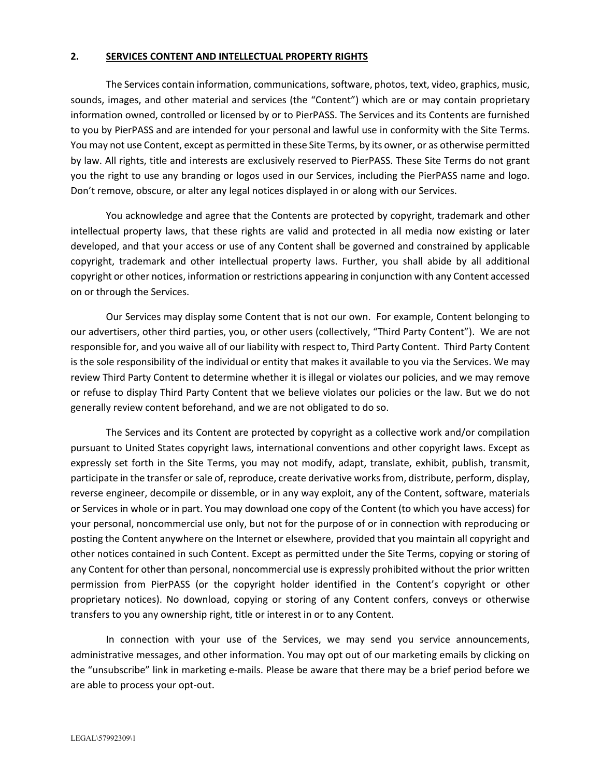#### **2. SERVICES CONTENT AND INTELLECTUAL PROPERTY RIGHTS**

The Services contain information, communications, software, photos, text, video, graphics, music, sounds, images, and other material and services (the "Content") which are or may contain proprietary information owned, controlled or licensed by or to PierPASS. The Services and its Contents are furnished to you by PierPASS and are intended for your personal and lawful use in conformity with the Site Terms. You may not use Content, except as permitted in these Site Terms, by its owner, or as otherwise permitted by law. All rights, title and interests are exclusively reserved to PierPASS. These Site Terms do not grant you the right to use any branding or logos used in our Services, including the PierPASS name and logo. Don't remove, obscure, or alter any legal notices displayed in or along with our Services.

You acknowledge and agree that the Contents are protected by copyright, trademark and other intellectual property laws, that these rights are valid and protected in all media now existing or later developed, and that your access or use of any Content shall be governed and constrained by applicable copyright, trademark and other intellectual property laws. Further, you shall abide by all additional copyright or other notices, information or restrictions appearing in conjunction with any Content accessed on or through the Services.

Our Services may display some Content that is not our own. For example, Content belonging to our advertisers, other third parties, you, or other users (collectively, "Third Party Content"). We are not responsible for, and you waive all of our liability with respect to, Third Party Content. Third Party Content is the sole responsibility of the individual or entity that makes it available to you via the Services. We may review Third Party Content to determine whether it is illegal or violates our policies, and we may remove or refuse to display Third Party Content that we believe violates our policies or the law. But we do not generally review content beforehand, and we are not obligated to do so.

The Services and its Content are protected by copyright as a collective work and/or compilation pursuant to United States copyright laws, international conventions and other copyright laws. Except as expressly set forth in the Site Terms, you may not modify, adapt, translate, exhibit, publish, transmit, participate in the transfer orsale of, reproduce, create derivative worksfrom, distribute, perform, display, reverse engineer, decompile or dissemble, or in any way exploit, any of the Content, software, materials or Services in whole or in part. You may download one copy of the Content (to which you have access) for your personal, noncommercial use only, but not for the purpose of or in connection with reproducing or posting the Content anywhere on the Internet or elsewhere, provided that you maintain all copyright and other notices contained in such Content. Except as permitted under the Site Terms, copying or storing of any Content for other than personal, noncommercial use is expressly prohibited without the prior written permission from PierPASS (or the copyright holder identified in the Content's copyright or other proprietary notices). No download, copying or storing of any Content confers, conveys or otherwise transfers to you any ownership right, title or interest in or to any Content.

In connection with your use of the Services, we may send you service announcements, administrative messages, and other information. You may opt out of our marketing emails by clicking on the "unsubscribe" link in marketing e-mails. Please be aware that there may be a brief period before we are able to process your opt‐out.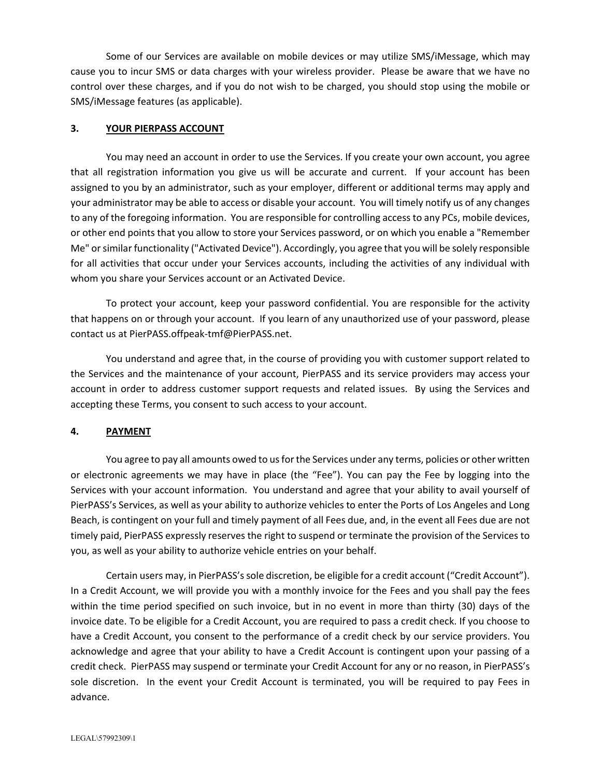Some of our Services are available on mobile devices or may utilize SMS/iMessage, which may cause you to incur SMS or data charges with your wireless provider. Please be aware that we have no control over these charges, and if you do not wish to be charged, you should stop using the mobile or SMS/iMessage features (as applicable).

#### **3. YOUR PIERPASS ACCOUNT**

You may need an account in order to use the Services. If you create your own account, you agree that all registration information you give us will be accurate and current. If your account has been assigned to you by an administrator, such as your employer, different or additional terms may apply and your administrator may be able to access or disable your account. You will timely notify us of any changes to any of the foregoing information. You are responsible for controlling access to any PCs, mobile devices, or other end points that you allow to store your Services password, or on which you enable a "Remember Me" orsimilar functionality ("Activated Device"). Accordingly, you agree that you will be solely responsible for all activities that occur under your Services accounts, including the activities of any individual with whom you share your Services account or an Activated Device.

To protect your account, keep your password confidential. You are responsible for the activity that happens on or through your account. If you learn of any unauthorized use of your password, please contact us at PierPASS.offpeak‐tmf@PierPASS.net.

You understand and agree that, in the course of providing you with customer support related to the Services and the maintenance of your account, PierPASS and its service providers may access your account in order to address customer support requests and related issues. By using the Services and accepting these Terms, you consent to such access to your account.

### **4. PAYMENT**

You agree to pay all amounts owed to us for the Services under any terms, policies or other written or electronic agreements we may have in place (the "Fee"). You can pay the Fee by logging into the Services with your account information. You understand and agree that your ability to avail yourself of PierPASS's Services, as well as your ability to authorize vehicles to enter the Ports of Los Angeles and Long Beach, is contingent on your full and timely payment of all Fees due, and, in the event all Fees due are not timely paid, PierPASS expressly reserves the right to suspend or terminate the provision of the Services to you, as well as your ability to authorize vehicle entries on your behalf.

Certain users may, in PierPASS'ssole discretion, be eligible for a credit account ("Credit Account"). In a Credit Account, we will provide you with a monthly invoice for the Fees and you shall pay the fees within the time period specified on such invoice, but in no event in more than thirty (30) days of the invoice date. To be eligible for a Credit Account, you are required to pass a credit check. If you choose to have a Credit Account, you consent to the performance of a credit check by our service providers. You acknowledge and agree that your ability to have a Credit Account is contingent upon your passing of a credit check. PierPASS may suspend or terminate your Credit Account for any or no reason, in PierPASS's sole discretion. In the event your Credit Account is terminated, you will be required to pay Fees in advance.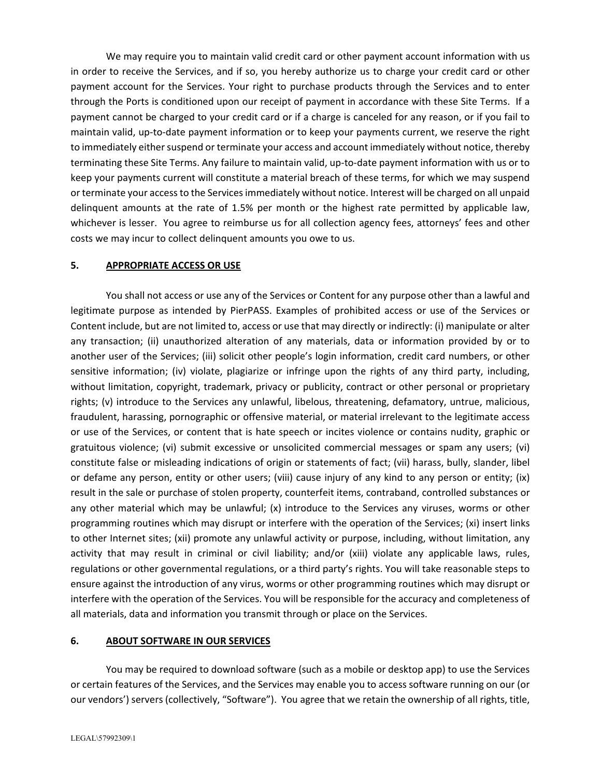We may require you to maintain valid credit card or other payment account information with us in order to receive the Services, and if so, you hereby authorize us to charge your credit card or other payment account for the Services. Your right to purchase products through the Services and to enter through the Ports is conditioned upon our receipt of payment in accordance with these Site Terms. If a payment cannot be charged to your credit card or if a charge is canceled for any reason, or if you fail to maintain valid, up‐to‐date payment information or to keep your payments current, we reserve the right to immediately either suspend or terminate your access and account immediately without notice, thereby terminating these Site Terms. Any failure to maintain valid, up-to-date payment information with us or to keep your payments current will constitute a material breach of these terms, for which we may suspend or terminate your accessto the Servicesimmediately without notice. Interest will be charged on all unpaid delinquent amounts at the rate of 1.5% per month or the highest rate permitted by applicable law, whichever is lesser. You agree to reimburse us for all collection agency fees, attorneys' fees and other costs we may incur to collect delinquent amounts you owe to us.

### **5. APPROPRIATE ACCESS OR USE**

You shall not access or use any of the Services or Content for any purpose other than a lawful and legitimate purpose as intended by PierPASS. Examples of prohibited access or use of the Services or Content include, but are not limited to, access or use that may directly or indirectly: (i) manipulate or alter any transaction; (ii) unauthorized alteration of any materials, data or information provided by or to another user of the Services; (iii) solicit other people's login information, credit card numbers, or other sensitive information; (iv) violate, plagiarize or infringe upon the rights of any third party, including, without limitation, copyright, trademark, privacy or publicity, contract or other personal or proprietary rights; (v) introduce to the Services any unlawful, libelous, threatening, defamatory, untrue, malicious, fraudulent, harassing, pornographic or offensive material, or material irrelevant to the legitimate access or use of the Services, or content that is hate speech or incites violence or contains nudity, graphic or gratuitous violence; (vi) submit excessive or unsolicited commercial messages or spam any users; (vi) constitute false or misleading indications of origin or statements of fact; (vii) harass, bully, slander, libel or defame any person, entity or other users; (viii) cause injury of any kind to any person or entity; (ix) result in the sale or purchase of stolen property, counterfeit items, contraband, controlled substances or any other material which may be unlawful; (x) introduce to the Services any viruses, worms or other programming routines which may disrupt or interfere with the operation of the Services; (xi) insert links to other Internet sites; (xii) promote any unlawful activity or purpose, including, without limitation, any activity that may result in criminal or civil liability; and/or (xiii) violate any applicable laws, rules, regulations or other governmental regulations, or a third party's rights. You will take reasonable steps to ensure against the introduction of any virus, worms or other programming routines which may disrupt or interfere with the operation of the Services. You will be responsible for the accuracy and completeness of all materials, data and information you transmit through or place on the Services.

### **6. ABOUT SOFTWARE IN OUR SERVICES**

You may be required to download software (such as a mobile or desktop app) to use the Services or certain features of the Services, and the Services may enable you to access software running on our (or our vendors') servers (collectively, "Software"). You agree that we retain the ownership of all rights, title,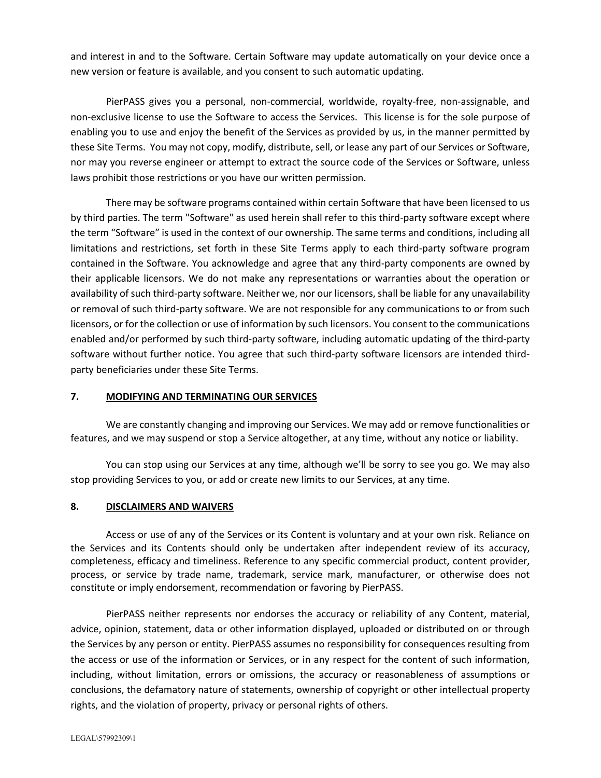and interest in and to the Software. Certain Software may update automatically on your device once a new version or feature is available, and you consent to such automatic updating.

PierPASS gives you a personal, non‐commercial, worldwide, royalty‐free, non‐assignable, and non‐exclusive license to use the Software to access the Services. This license is for the sole purpose of enabling you to use and enjoy the benefit of the Services as provided by us, in the manner permitted by these Site Terms. You may not copy, modify, distribute, sell, or lease any part of our Services or Software, nor may you reverse engineer or attempt to extract the source code of the Services or Software, unless laws prohibit those restrictions or you have our written permission.

There may be software programs contained within certain Software that have been licensed to us by third parties. The term "Software" as used herein shall refer to this third-party software except where the term "Software" is used in the context of our ownership. The same terms and conditions, including all limitations and restrictions, set forth in these Site Terms apply to each third-party software program contained in the Software. You acknowledge and agree that any third‐party components are owned by their applicable licensors. We do not make any representations or warranties about the operation or availability of such third-party software. Neither we, nor our licensors, shall be liable for any unavailability or removal of such third‐party software. We are not responsible for any communications to or from such licensors, or for the collection or use of information by such licensors. You consent to the communications enabled and/or performed by such third-party software, including automatic updating of the third-party software without further notice. You agree that such third‐party software licensors are intended third‐ party beneficiaries under these Site Terms.

### **7. MODIFYING AND TERMINATING OUR SERVICES**

We are constantly changing and improving our Services. We may add or remove functionalities or features, and we may suspend or stop a Service altogether, at any time, without any notice or liability.

You can stop using our Services at any time, although we'll be sorry to see you go. We may also stop providing Services to you, or add or create new limits to our Services, at any time.

### **8. DISCLAIMERS AND WAIVERS**

Access or use of any of the Services or its Content is voluntary and at your own risk. Reliance on the Services and its Contents should only be undertaken after independent review of its accuracy, completeness, efficacy and timeliness. Reference to any specific commercial product, content provider, process, or service by trade name, trademark, service mark, manufacturer, or otherwise does not constitute or imply endorsement, recommendation or favoring by PierPASS.

PierPASS neither represents nor endorses the accuracy or reliability of any Content, material, advice, opinion, statement, data or other information displayed, uploaded or distributed on or through the Services by any person or entity. PierPASS assumes no responsibility for consequences resulting from the access or use of the information or Services, or in any respect for the content of such information, including, without limitation, errors or omissions, the accuracy or reasonableness of assumptions or conclusions, the defamatory nature of statements, ownership of copyright or other intellectual property rights, and the violation of property, privacy or personal rights of others.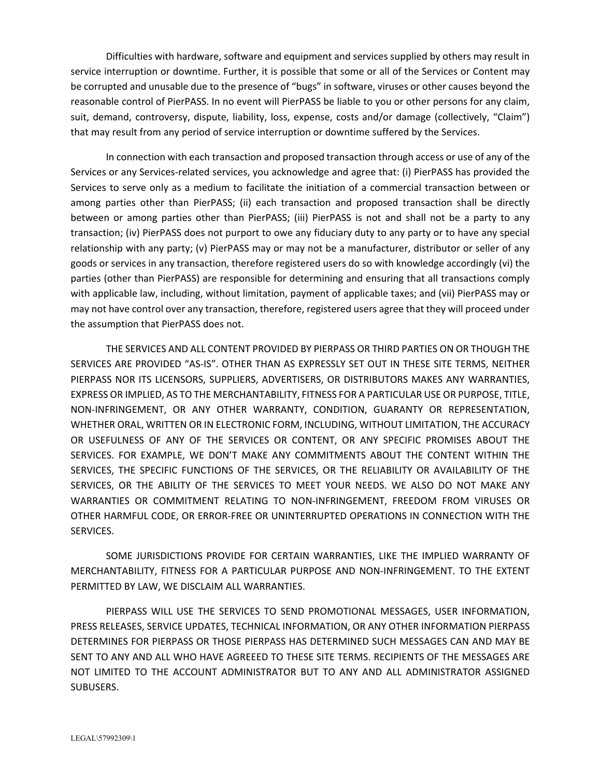Difficulties with hardware, software and equipment and services supplied by others may result in service interruption or downtime. Further, it is possible that some or all of the Services or Content may be corrupted and unusable due to the presence of "bugs" in software, viruses or other causes beyond the reasonable control of PierPASS. In no event will PierPASS be liable to you or other persons for any claim, suit, demand, controversy, dispute, liability, loss, expense, costs and/or damage (collectively, "Claim") that may result from any period of service interruption or downtime suffered by the Services.

In connection with each transaction and proposed transaction through access or use of any of the Services or any Services-related services, you acknowledge and agree that: (i) PierPASS has provided the Services to serve only as a medium to facilitate the initiation of a commercial transaction between or among parties other than PierPASS; (ii) each transaction and proposed transaction shall be directly between or among parties other than PierPASS; (iii) PierPASS is not and shall not be a party to any transaction; (iv) PierPASS does not purport to owe any fiduciary duty to any party or to have any special relationship with any party; (v) PierPASS may or may not be a manufacturer, distributor or seller of any goods or services in any transaction, therefore registered users do so with knowledge accordingly (vi) the parties (other than PierPASS) are responsible for determining and ensuring that all transactions comply with applicable law, including, without limitation, payment of applicable taxes; and (vii) PierPASS may or may not have control over any transaction, therefore, registered users agree that they will proceed under the assumption that PierPASS does not.

THE SERVICES AND ALL CONTENT PROVIDED BY PIERPASS OR THIRD PARTIES ON OR THOUGH THE SERVICES ARE PROVIDED "AS‐IS". OTHER THAN AS EXPRESSLY SET OUT IN THESE SITE TERMS, NEITHER PIERPASS NOR ITS LICENSORS, SUPPLIERS, ADVERTISERS, OR DISTRIBUTORS MAKES ANY WARRANTIES, EXPRESS OR IMPLIED, AS TO THE MERCHANTABILITY, FITNESS FOR A PARTICULAR USE OR PURPOSE, TITLE, NON‐INFRINGEMENT, OR ANY OTHER WARRANTY, CONDITION, GUARANTY OR REPRESENTATION, WHETHER ORAL, WRITTEN OR IN ELECTRONIC FORM, INCLUDING, WITHOUT LIMITATION, THE ACCURACY OR USEFULNESS OF ANY OF THE SERVICES OR CONTENT, OR ANY SPECIFIC PROMISES ABOUT THE SERVICES. FOR EXAMPLE, WE DON'T MAKE ANY COMMITMENTS ABOUT THE CONTENT WITHIN THE SERVICES, THE SPECIFIC FUNCTIONS OF THE SERVICES, OR THE RELIABILITY OR AVAILABILITY OF THE SERVICES, OR THE ABILITY OF THE SERVICES TO MEET YOUR NEEDS. WE ALSO DO NOT MAKE ANY WARRANTIES OR COMMITMENT RELATING TO NON‐INFRINGEMENT, FREEDOM FROM VIRUSES OR OTHER HARMFUL CODE, OR ERROR‐FREE OR UNINTERRUPTED OPERATIONS IN CONNECTION WITH THE SERVICES.

SOME JURISDICTIONS PROVIDE FOR CERTAIN WARRANTIES, LIKE THE IMPLIED WARRANTY OF MERCHANTABILITY, FITNESS FOR A PARTICULAR PURPOSE AND NON‐INFRINGEMENT. TO THE EXTENT PERMITTED BY LAW, WE DISCLAIM ALL WARRANTIES.

PIERPASS WILL USE THE SERVICES TO SEND PROMOTIONAL MESSAGES, USER INFORMATION, PRESS RELEASES, SERVICE UPDATES, TECHNICAL INFORMATION, OR ANY OTHER INFORMATION PIERPASS DETERMINES FOR PIERPASS OR THOSE PIERPASS HAS DETERMINED SUCH MESSAGES CAN AND MAY BE SENT TO ANY AND ALL WHO HAVE AGREEED TO THESE SITE TERMS. RECIPIENTS OF THE MESSAGES ARE NOT LIMITED TO THE ACCOUNT ADMINISTRATOR BUT TO ANY AND ALL ADMINISTRATOR ASSIGNED SUBUSERS.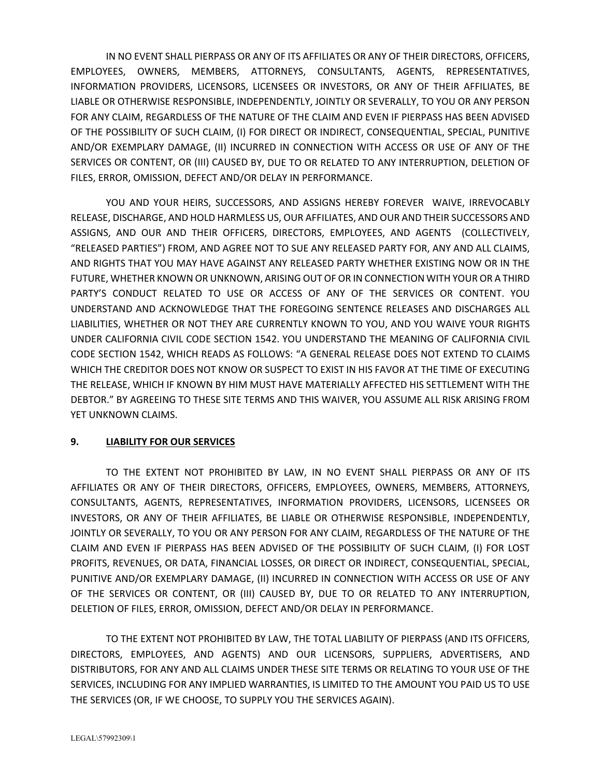IN NO EVENT SHALL PIERPASS OR ANY OF ITS AFFILIATES OR ANY OF THEIR DIRECTORS, OFFICERS, EMPLOYEES, OWNERS, MEMBERS, ATTORNEYS, CONSULTANTS, AGENTS, REPRESENTATIVES, INFORMATION PROVIDERS, LICENSORS, LICENSEES OR INVESTORS, OR ANY OF THEIR AFFILIATES, BE LIABLE OR OTHERWISE RESPONSIBLE, INDEPENDENTLY, JOINTLY OR SEVERALLY, TO YOU OR ANY PERSON FOR ANY CLAIM, REGARDLESS OF THE NATURE OF THE CLAIM AND EVEN IF PIERPASS HAS BEEN ADVISED OF THE POSSIBILITY OF SUCH CLAIM, (I) FOR DIRECT OR INDIRECT, CONSEQUENTIAL, SPECIAL, PUNITIVE AND/OR EXEMPLARY DAMAGE, (II) INCURRED IN CONNECTION WITH ACCESS OR USE OF ANY OF THE SERVICES OR CONTENT, OR (III) CAUSED BY, DUE TO OR RELATED TO ANY INTERRUPTION, DELETION OF FILES, ERROR, OMISSION, DEFECT AND/OR DELAY IN PERFORMANCE.

YOU AND YOUR HEIRS, SUCCESSORS, AND ASSIGNS HEREBY FOREVER WAIVE, IRREVOCABLY RELEASE, DISCHARGE, AND HOLD HARMLESS US, OUR AFFILIATES, AND OUR AND THEIR SUCCESSORS AND ASSIGNS, AND OUR AND THEIR OFFICERS, DIRECTORS, EMPLOYEES, AND AGENTS (COLLECTIVELY, "RELEASED PARTIES") FROM, AND AGREE NOT TO SUE ANY RELEASED PARTY FOR, ANY AND ALL CLAIMS, AND RIGHTS THAT YOU MAY HAVE AGAINST ANY RELEASED PARTY WHETHER EXISTING NOW OR IN THE FUTURE, WHETHER KNOWN OR UNKNOWN, ARISING OUT OF OR IN CONNECTION WITH YOUR OR A THIRD PARTY'S CONDUCT RELATED TO USE OR ACCESS OF ANY OF THE SERVICES OR CONTENT. YOU UNDERSTAND AND ACKNOWLEDGE THAT THE FOREGOING SENTENCE RELEASES AND DISCHARGES ALL LIABILITIES, WHETHER OR NOT THEY ARE CURRENTLY KNOWN TO YOU, AND YOU WAIVE YOUR RIGHTS UNDER CALIFORNIA CIVIL CODE SECTION 1542. YOU UNDERSTAND THE MEANING OF CALIFORNIA CIVIL CODE SECTION 1542, WHICH READS AS FOLLOWS: "A GENERAL RELEASE DOES NOT EXTEND TO CLAIMS WHICH THE CREDITOR DOES NOT KNOW OR SUSPECT TO EXIST IN HIS FAVOR AT THE TIME OF EXECUTING THE RELEASE, WHICH IF KNOWN BY HIM MUST HAVE MATERIALLY AFFECTED HIS SETTLEMENT WITH THE DEBTOR." BY AGREEING TO THESE SITE TERMS AND THIS WAIVER, YOU ASSUME ALL RISK ARISING FROM YET UNKNOWN CLAIMS.

# **9. LIABILITY FOR OUR SERVICES**

TO THE EXTENT NOT PROHIBITED BY LAW, IN NO EVENT SHALL PIERPASS OR ANY OF ITS AFFILIATES OR ANY OF THEIR DIRECTORS, OFFICERS, EMPLOYEES, OWNERS, MEMBERS, ATTORNEYS, CONSULTANTS, AGENTS, REPRESENTATIVES, INFORMATION PROVIDERS, LICENSORS, LICENSEES OR INVESTORS, OR ANY OF THEIR AFFILIATES, BE LIABLE OR OTHERWISE RESPONSIBLE, INDEPENDENTLY, JOINTLY OR SEVERALLY, TO YOU OR ANY PERSON FOR ANY CLAIM, REGARDLESS OF THE NATURE OF THE CLAIM AND EVEN IF PIERPASS HAS BEEN ADVISED OF THE POSSIBILITY OF SUCH CLAIM, (I) FOR LOST PROFITS, REVENUES, OR DATA, FINANCIAL LOSSES, OR DIRECT OR INDIRECT, CONSEQUENTIAL, SPECIAL, PUNITIVE AND/OR EXEMPLARY DAMAGE, (II) INCURRED IN CONNECTION WITH ACCESS OR USE OF ANY OF THE SERVICES OR CONTENT, OR (III) CAUSED BY, DUE TO OR RELATED TO ANY INTERRUPTION, DELETION OF FILES, ERROR, OMISSION, DEFECT AND/OR DELAY IN PERFORMANCE.

TO THE EXTENT NOT PROHIBITED BY LAW, THE TOTAL LIABILITY OF PIERPASS (AND ITS OFFICERS, DIRECTORS, EMPLOYEES, AND AGENTS) AND OUR LICENSORS, SUPPLIERS, ADVERTISERS, AND DISTRIBUTORS, FOR ANY AND ALL CLAIMS UNDER THESE SITE TERMS OR RELATING TO YOUR USE OF THE SERVICES, INCLUDING FOR ANY IMPLIED WARRANTIES, IS LIMITED TO THE AMOUNT YOU PAID US TO USE THE SERVICES (OR, IF WE CHOOSE, TO SUPPLY YOU THE SERVICES AGAIN).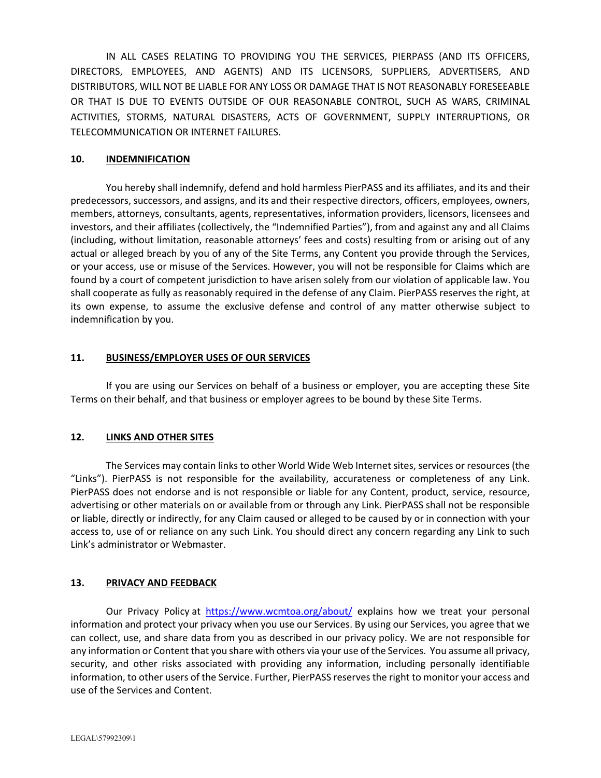IN ALL CASES RELATING TO PROVIDING YOU THE SERVICES, PIERPASS (AND ITS OFFICERS, DIRECTORS, EMPLOYEES, AND AGENTS) AND ITS LICENSORS, SUPPLIERS, ADVERTISERS, AND DISTRIBUTORS, WILL NOT BE LIABLE FOR ANY LOSS OR DAMAGE THAT IS NOT REASONABLY FORESEEABLE OR THAT IS DUE TO EVENTS OUTSIDE OF OUR REASONABLE CONTROL, SUCH AS WARS, CRIMINAL ACTIVITIES, STORMS, NATURAL DISASTERS, ACTS OF GOVERNMENT, SUPPLY INTERRUPTIONS, OR TELECOMMUNICATION OR INTERNET FAILURES.

#### **10. INDEMNIFICATION**

You hereby shall indemnify, defend and hold harmless PierPASS and its affiliates, and its and their predecessors, successors, and assigns, and its and their respective directors, officers, employees, owners, members, attorneys, consultants, agents, representatives, information providers, licensors, licensees and investors, and their affiliates (collectively, the "Indemnified Parties"), from and against any and all Claims (including, without limitation, reasonable attorneys' fees and costs) resulting from or arising out of any actual or alleged breach by you of any of the Site Terms, any Content you provide through the Services, or your access, use or misuse of the Services. However, you will not be responsible for Claims which are found by a court of competent jurisdiction to have arisen solely from our violation of applicable law. You shall cooperate as fully as reasonably required in the defense of any Claim. PierPASS reserves the right, at its own expense, to assume the exclusive defense and control of any matter otherwise subject to indemnification by you.

#### **11. BUSINESS/EMPLOYER USES OF OUR SERVICES**

If you are using our Services on behalf of a business or employer, you are accepting these Site Terms on their behalf, and that business or employer agrees to be bound by these Site Terms.

### **12. LINKS AND OTHER SITES**

The Services may contain links to other World Wide Web Internet sites, services or resources (the "Links"). PierPASS is not responsible for the availability, accurateness or completeness of any Link. PierPASS does not endorse and is not responsible or liable for any Content, product, service, resource, advertising or other materials on or available from or through any Link. PierPASS shall not be responsible or liable, directly or indirectly, for any Claim caused or alleged to be caused by or in connection with your access to, use of or reliance on any such Link. You should direct any concern regarding any Link to such Link's administrator or Webmaster.

### **13. PRIVACY AND FEEDBACK**

Our Privacy Policy at https://www.wcmtoa.org/about/ explains how we treat your personal information and protect your privacy when you use our Services. By using our Services, you agree that we can collect, use, and share data from you as described in our privacy policy. We are not responsible for any information or Content that you share with others via your use of the Services. You assume all privacy, security, and other risks associated with providing any information, including personally identifiable information, to other users of the Service. Further, PierPASS reservesthe right to monitor your access and use of the Services and Content.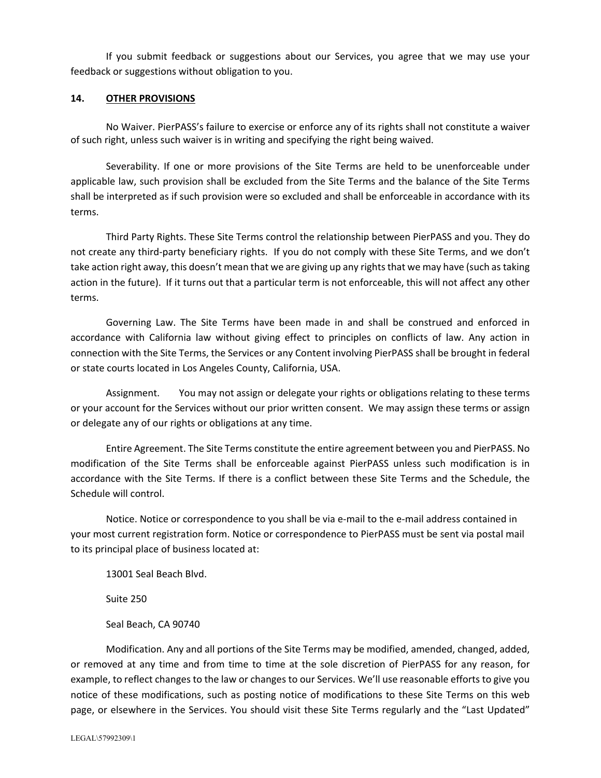If you submit feedback or suggestions about our Services, you agree that we may use your feedback or suggestions without obligation to you.

#### **14. OTHER PROVISIONS**

No Waiver. PierPASS's failure to exercise or enforce any of its rights shall not constitute a waiver of such right, unless such waiver is in writing and specifying the right being waived.

Severability. If one or more provisions of the Site Terms are held to be unenforceable under applicable law, such provision shall be excluded from the Site Terms and the balance of the Site Terms shall be interpreted as if such provision were so excluded and shall be enforceable in accordance with its terms.

Third Party Rights. These Site Terms control the relationship between PierPASS and you. They do not create any third‐party beneficiary rights. If you do not comply with these Site Terms, and we don't take action right away, this doesn't mean that we are giving up any rights that we may have (such as taking action in the future). If it turns out that a particular term is not enforceable, this will not affect any other terms.

Governing Law. The Site Terms have been made in and shall be construed and enforced in accordance with California law without giving effect to principles on conflicts of law. Any action in connection with the Site Terms, the Services or any Content involving PierPASS shall be brought in federal or state courts located in Los Angeles County, California, USA.

Assignment. You may not assign or delegate your rights or obligations relating to these terms or your account for the Services without our prior written consent. We may assign these terms or assign or delegate any of our rights or obligations at any time.

Entire Agreement. The Site Terms constitute the entire agreement between you and PierPASS. No modification of the Site Terms shall be enforceable against PierPASS unless such modification is in accordance with the Site Terms. If there is a conflict between these Site Terms and the Schedule, the Schedule will control.

Notice. Notice or correspondence to you shall be via e‐mail to the e‐mail address contained in your most current registration form. Notice or correspondence to PierPASS must be sent via postal mail to its principal place of business located at:

13001 Seal Beach Blvd.

Suite 250

Seal Beach, CA 90740

Modification. Any and all portions of the Site Terms may be modified, amended, changed, added, or removed at any time and from time to time at the sole discretion of PierPASS for any reason, for example, to reflect changes to the law or changes to our Services. We'll use reasonable efforts to give you notice of these modifications, such as posting notice of modifications to these Site Terms on this web page, or elsewhere in the Services. You should visit these Site Terms regularly and the "Last Updated"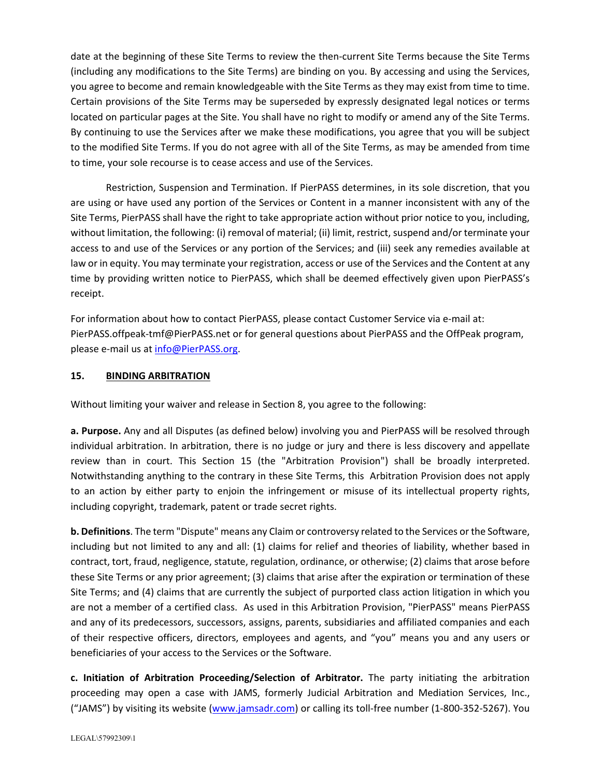date at the beginning of these Site Terms to review the then-current Site Terms because the Site Terms (including any modifications to the Site Terms) are binding on you. By accessing and using the Services, you agree to become and remain knowledgeable with the Site Terms as they may exist from time to time. Certain provisions of the Site Terms may be superseded by expressly designated legal notices or terms located on particular pages at the Site. You shall have no right to modify or amend any of the Site Terms. By continuing to use the Services after we make these modifications, you agree that you will be subject to the modified Site Terms. If you do not agree with all of the Site Terms, as may be amended from time to time, your sole recourse is to cease access and use of the Services.

Restriction, Suspension and Termination. If PierPASS determines, in its sole discretion, that you are using or have used any portion of the Services or Content in a manner inconsistent with any of the Site Terms, PierPASS shall have the right to take appropriate action without prior notice to you, including, without limitation, the following: (i) removal of material; (ii) limit, restrict, suspend and/or terminate your access to and use of the Services or any portion of the Services; and (iii) seek any remedies available at law or in equity. You may terminate your registration, access or use of the Services and the Content at any time by providing written notice to PierPASS, which shall be deemed effectively given upon PierPASS's receipt.

For information about how to contact PierPASS, please contact Customer Service via e-mail at: PierPASS.offpeak-tmf@PierPASS.net or for general questions about PierPASS and the OffPeak program, please e‐mail us at info@PierPASS.org.

# **15. BINDING ARBITRATION**

Without limiting your waiver and release in Section 8, you agree to the following:

**a. Purpose.** Any and all Disputes (as defined below) involving you and PierPASS will be resolved through individual arbitration. In arbitration, there is no judge or jury and there is less discovery and appellate review than in court. This Section 15 (the "Arbitration Provision") shall be broadly interpreted. Notwithstanding anything to the contrary in these Site Terms, this Arbitration Provision does not apply to an action by either party to enjoin the infringement or misuse of its intellectual property rights, including copyright, trademark, patent or trade secret rights.

**b. Definitions**. The term "Dispute" means any Claim or controversy related to the Services or the Software, including but not limited to any and all: (1) claims for relief and theories of liability, whether based in contract, tort, fraud, negligence, statute, regulation, ordinance, or otherwise; (2) claims that arose before these Site Terms or any prior agreement; (3) claims that arise after the expiration or termination of these Site Terms; and (4) claims that are currently the subject of purported class action litigation in which you are not a member of a certified class. As used in this Arbitration Provision, "PierPASS" means PierPASS and any of its predecessors, successors, assigns, parents, subsidiaries and affiliated companies and each of their respective officers, directors, employees and agents, and "you" means you and any users or beneficiaries of your access to the Services or the Software.

**c. Initiation of Arbitration Proceeding/Selection of Arbitrator.** The party initiating the arbitration proceeding may open a case with JAMS, formerly Judicial Arbitration and Mediation Services, Inc., ("JAMS") by visiting its website (www.jamsadr.com) or calling its toll‐free number (1‐800‐352‐5267). You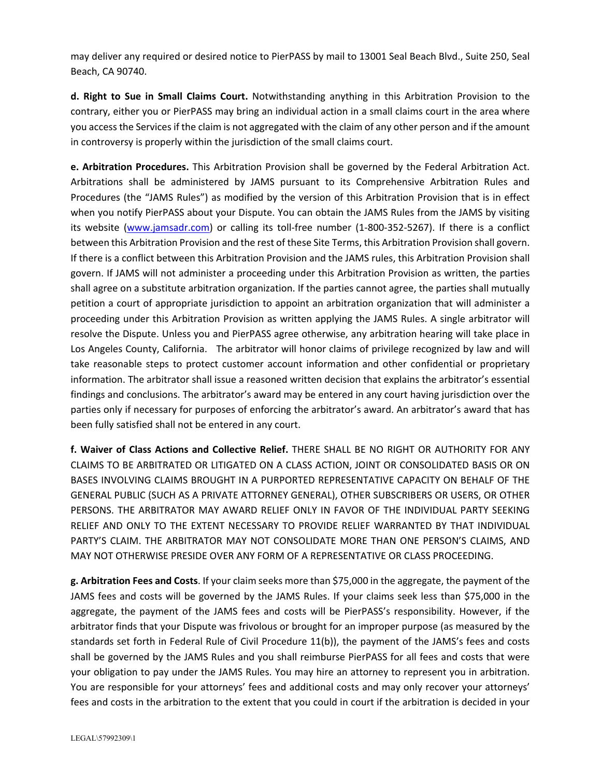may deliver any required or desired notice to PierPASS by mail to 13001 Seal Beach Blvd., Suite 250, Seal Beach, CA 90740.

**d. Right to Sue in Small Claims Court.** Notwithstanding anything in this Arbitration Provision to the contrary, either you or PierPASS may bring an individual action in a small claims court in the area where you accessthe Servicesif the claim is not aggregated with the claim of any other person and if the amount in controversy is properly within the jurisdiction of the small claims court.

**e. Arbitration Procedures.** This Arbitration Provision shall be governed by the Federal Arbitration Act. Arbitrations shall be administered by JAMS pursuant to its Comprehensive Arbitration Rules and Procedures (the "JAMS Rules") as modified by the version of this Arbitration Provision that is in effect when you notify PierPASS about your Dispute. You can obtain the JAMS Rules from the JAMS by visiting its website (www.jamsadr.com) or calling its toll‐free number (1‐800‐352‐5267). If there is a conflict between this Arbitration Provision and the rest of these Site Terms, this Arbitration Provision shall govern. If there is a conflict between this Arbitration Provision and the JAMS rules, this Arbitration Provision shall govern. If JAMS will not administer a proceeding under this Arbitration Provision as written, the parties shall agree on a substitute arbitration organization. If the parties cannot agree, the parties shall mutually petition a court of appropriate jurisdiction to appoint an arbitration organization that will administer a proceeding under this Arbitration Provision as written applying the JAMS Rules. A single arbitrator will resolve the Dispute. Unless you and PierPASS agree otherwise, any arbitration hearing will take place in Los Angeles County, California. The arbitrator will honor claims of privilege recognized by law and will take reasonable steps to protect customer account information and other confidential or proprietary information. The arbitrator shall issue a reasoned written decision that explains the arbitrator's essential findings and conclusions. The arbitrator's award may be entered in any court having jurisdiction over the parties only if necessary for purposes of enforcing the arbitrator's award. An arbitrator's award that has been fully satisfied shall not be entered in any court.

**f. Waiver of Class Actions and Collective Relief.** THERE SHALL BE NO RIGHT OR AUTHORITY FOR ANY CLAIMS TO BE ARBITRATED OR LITIGATED ON A CLASS ACTION, JOINT OR CONSOLIDATED BASIS OR ON BASES INVOLVING CLAIMS BROUGHT IN A PURPORTED REPRESENTATIVE CAPACITY ON BEHALF OF THE GENERAL PUBLIC (SUCH AS A PRIVATE ATTORNEY GENERAL), OTHER SUBSCRIBERS OR USERS, OR OTHER PERSONS. THE ARBITRATOR MAY AWARD RELIEF ONLY IN FAVOR OF THE INDIVIDUAL PARTY SEEKING RELIEF AND ONLY TO THE EXTENT NECESSARY TO PROVIDE RELIEF WARRANTED BY THAT INDIVIDUAL PARTY'S CLAIM. THE ARBITRATOR MAY NOT CONSOLIDATE MORE THAN ONE PERSON'S CLAIMS, AND MAY NOT OTHERWISE PRESIDE OVER ANY FORM OF A REPRESENTATIVE OR CLASS PROCEEDING.

**g. Arbitration Fees and Costs**. If your claim seeks more than \$75,000 in the aggregate, the payment of the JAMS fees and costs will be governed by the JAMS Rules. If your claims seek less than \$75,000 in the aggregate, the payment of the JAMS fees and costs will be PierPASS's responsibility. However, if the arbitrator finds that your Dispute was frivolous or brought for an improper purpose (as measured by the standards set forth in Federal Rule of Civil Procedure 11(b)), the payment of the JAMS's fees and costs shall be governed by the JAMS Rules and you shall reimburse PierPASS for all fees and costs that were your obligation to pay under the JAMS Rules. You may hire an attorney to represent you in arbitration. You are responsible for your attorneys' fees and additional costs and may only recover your attorneys' fees and costs in the arbitration to the extent that you could in court if the arbitration is decided in your